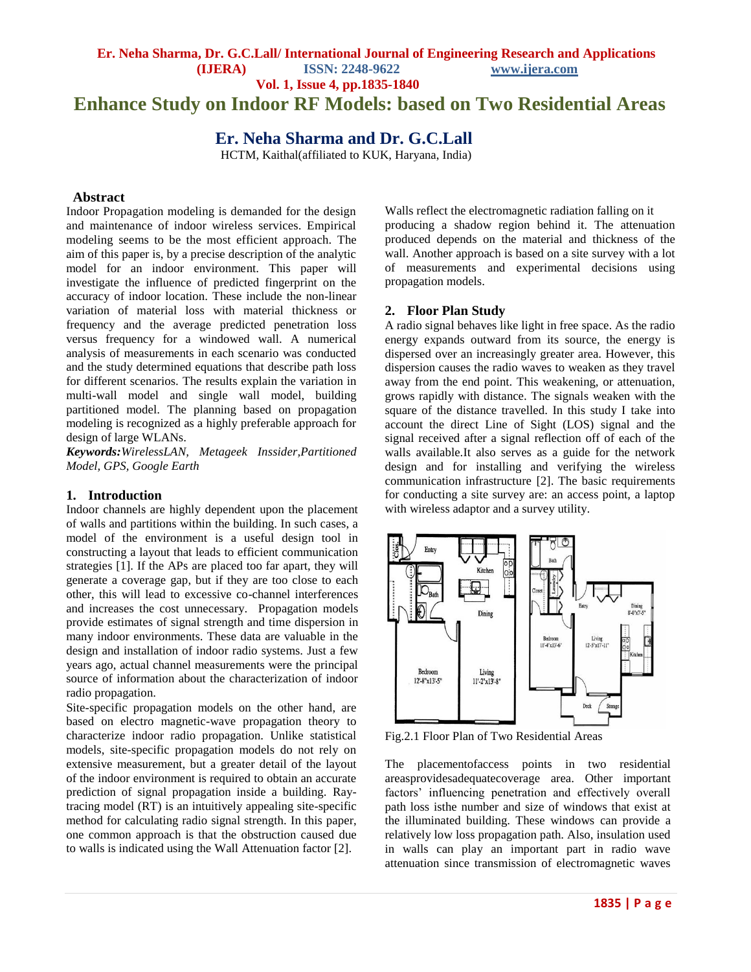# **Enhance Study on Indoor RF Models: based on Two Residential Areas**

# **Er. Neha Sharma and Dr. G.C.Lall**

HCTM, Kaithal(affiliated to KUK, Haryana, India)

### **Abstract**

Indoor Propagation modeling is demanded for the design and maintenance of indoor wireless services. Empirical modeling seems to be the most efficient approach. The aim of this paper is, by a precise description of the analytic model for an indoor environment. This paper will investigate the influence of predicted fingerprint on the accuracy of indoor location. These include the non-linear variation of material loss with material thickness or frequency and the average predicted penetration loss versus frequency for a windowed wall. A numerical analysis of measurements in each scenario was conducted and the study determined equations that describe path loss for different scenarios. The results explain the variation in multi-wall model and single wall model, building partitioned model. The planning based on propagation modeling is recognized as a highly preferable approach for design of large WLANs.

*Keywords:WirelessLAN, Metageek Inssider,Partitioned Model, GPS, Google Earth*

### **1. Introduction**

Indoor channels are highly dependent upon the placement of walls and partitions within the building. In such cases, a model of the environment is a useful design tool in constructing a layout that leads to efficient communication strategies [1]. If the APs are placed too far apart, they will generate a coverage gap, but if they are too close to each other, this will lead to excessive co-channel interferences and increases the cost unnecessary. Propagation models provide estimates of signal strength and time dispersion in many indoor environments. These data are valuable in the design and installation of indoor radio systems. Just a few years ago, actual channel measurements were the principal source of information about the characterization of indoor radio propagation.

Site-specific propagation models on the other hand, are based on electro magnetic-wave propagation theory to characterize indoor radio propagation. Unlike statistical models, site-specific propagation models do not rely on extensive measurement, but a greater detail of the layout of the indoor environment is required to obtain an accurate prediction of signal propagation inside a building. Raytracing model (RT) is an intuitively appealing site-specific method for calculating radio signal strength. In this paper, one common approach is that the obstruction caused due to walls is indicated using the Wall Attenuation factor [2].

Walls reflect the electromagnetic radiation falling on it producing a shadow region behind it. The attenuation produced depends on the material and thickness of the wall. Another approach is based on a site survey with a lot of measurements and experimental decisions using propagation models.

#### **2. Floor Plan Study**

A radio signal behaves like light in free space. As the radio energy expands outward from its source, the energy is dispersed over an increasingly greater area. However, this dispersion causes the radio waves to weaken as they travel away from the end point. This weakening, or attenuation, grows rapidly with distance. The signals weaken with the square of the distance travelled. In this study I take into account the direct Line of Sight (LOS) signal and the signal received after a signal reflection off of each of the walls available.It also serves as a guide for the network design and for installing and verifying the wireless communication infrastructure [2]. The basic requirements for conducting a site survey are: an access point, a laptop with wireless adaptor and a survey utility.



Fig.2.1 Floor Plan of Two Residential Areas

The placementofaccess points in two residential areasprovidesadequatecoverage area. Other important factors' influencing penetration and effectively overall path loss isthe number and size of windows that exist at the illuminated building. These windows can provide a relatively low loss propagation path. Also, insulation used in walls can play an important part in radio wave attenuation since transmission of electromagnetic waves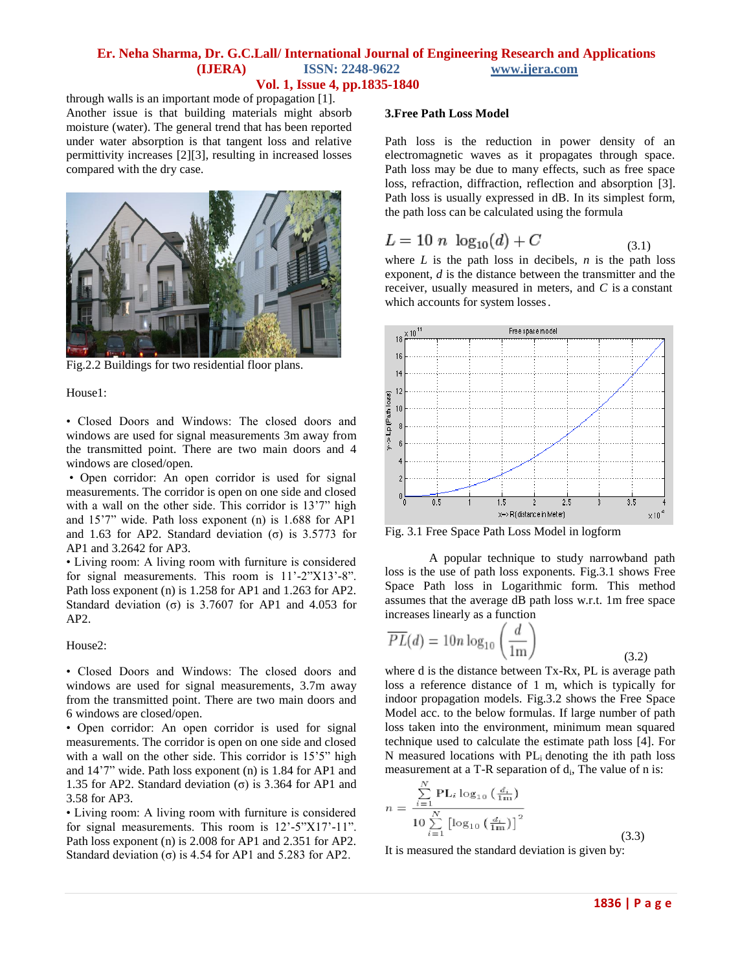through walls is an important mode of propagation [1]. Another issue is that building materials might absorb moisture (water). The general trend that has been reported under water absorption is that tangent loss and relative permittivity increases [2][3], resulting in increased losses compared with the dry case.



Fig.2.2 Buildings for two residential floor plans.

House1:

• Closed Doors and Windows: The closed doors and windows are used for signal measurements 3m away from the transmitted point. There are two main doors and 4 windows are closed/open.

• Open corridor: An open corridor is used for signal measurements. The corridor is open on one side and closed with a wall on the other side. This corridor is 13'7" high and 15'7" wide. Path loss exponent (n) is 1.688 for AP1 and 1.63 for AP2. Standard deviation  $(\sigma)$  is 3.5773 for AP1 and 3.2642 for AP3.

• Living room: A living room with furniture is considered for signal measurements. This room is 11'-2"X13'-8". Path loss exponent (n) is 1.258 for AP1 and 1.263 for AP2. Standard deviation (σ) is 3.7607 for AP1 and 4.053 for AP2.

House2:

• Closed Doors and Windows: The closed doors and windows are used for signal measurements, 3.7m away from the transmitted point. There are two main doors and 6 windows are closed/open.

• Open corridor: An open corridor is used for signal measurements. The corridor is open on one side and closed with a wall on the other side. This corridor is 15'5" high and 14'7" wide. Path loss exponent (n) is 1.84 for AP1 and 1.35 for AP2. Standard deviation  $(\sigma)$  is 3.364 for AP1 and 3.58 for AP3.

• Living room: A living room with furniture is considered for signal measurements. This room is 12'-5"X17'-11". Path loss exponent (n) is 2.008 for AP1 and 2.351 for AP2. Standard deviation ( $\sigma$ ) is 4.54 for AP1 and 5.283 for AP2.

#### **3.Free Path Loss Model**

Path loss is the reduction in power density of an electromagnetic waves as it propagates through space. Path loss may be due to many effects, such as free space loss, refraction, diffraction, reflection and absorption [3]. Path loss is usually expressed in dB. In its simplest form, the path loss can be calculated using the formula

$$
L = 10 n \log_{10}(d) + C \tag{3.1}
$$

where  $L$  is the path loss in decibels,  $n$  is the path loss exponent, *d* is the distance between the transmitter and the receiver, usually measured in meters, and *C* is a constant which accounts for system losses.



Fig. 3.1 Free Space Path Loss Model in logform

A popular technique to study narrowband path loss is the use of path loss exponents. Fig.3.1 shows Free Space Path loss in Logarithmic form. This method assumes that the average dB path loss w.r.t. 1m free space increases linearly as a function

$$
\overline{PL}(d) = 10n \log_{10} \left( \frac{d}{1m} \right)
$$
\n(3.2)

where d is the distance between Tx-Rx, PL is average path loss a reference distance of 1 m, which is typically for indoor propagation models. Fig.3.2 shows the Free Space Model acc. to the below formulas. If large number of path loss taken into the environment, minimum mean squared technique used to calculate the estimate path loss [4]. For N measured locations with  $PL_i$  denoting the ith path loss measurement at a T-R separation of  $d_i$ , The value of n is:

$$
n = \frac{\sum_{i=1}^{N} \text{PL}_{i} \log_{10} \left(\frac{d_{i}}{1 \text{m}}\right)}{10 \sum_{i=1}^{N} \left[\log_{10} \left(\frac{d_{i}}{1 \text{m}}\right)\right]^{2}}
$$
(3.3)

It is measured the standard deviation is given by: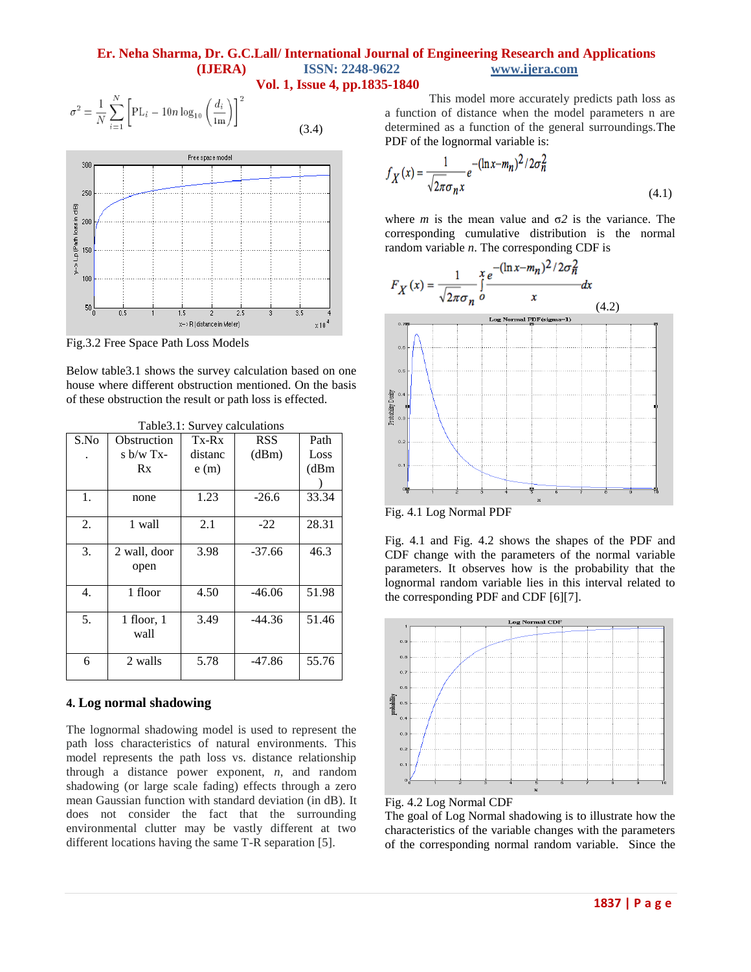(3.4)

$$
\sigma^2 = \frac{1}{N} \sum_{i=1}^{N} \left[ \text{PL}_{i} - 10n \log_{10} \left( \frac{d_i}{1 \text{m}} \right) \right]^2
$$



Fig.3.2 Free Space Path Loss Models

Below table3.1 shows the survey calculation based on one house where different obstruction mentioned. On the basis of these obstruction the result or path loss is effected.

| I aun J.I. Dui vuy Can diations |                |         |            |       |  |  |
|---------------------------------|----------------|---------|------------|-------|--|--|
| S.No                            | Obstruction    | $Tx-Rx$ | <b>RSS</b> | Path  |  |  |
|                                 | s $b/w$ Tx-    | distanc | (dBm)      | Loss  |  |  |
|                                 | Rx             | e(m)    |            | (dBm) |  |  |
|                                 |                |         |            |       |  |  |
| 1.                              | none           | 1.23    | $-26.6$    | 33.34 |  |  |
|                                 |                |         |            |       |  |  |
| 2.                              | 1 wall         | 2.1     | $-22$      | 28.31 |  |  |
|                                 |                |         |            |       |  |  |
| 3.                              | 2 wall, door   | 3.98    | $-37.66$   | 46.3  |  |  |
|                                 | open           |         |            |       |  |  |
|                                 |                |         |            |       |  |  |
| 4.                              | 1 floor        | 4.50    | $-46.06$   | 51.98 |  |  |
|                                 |                |         |            |       |  |  |
| 5.                              | $1$ floor, $1$ | 3.49    | $-44.36$   | 51.46 |  |  |
|                                 | wall           |         |            |       |  |  |
|                                 |                |         |            |       |  |  |
| 6                               | 2 walls        | 5.78    | $-47.86$   | 55.76 |  |  |
|                                 |                |         |            |       |  |  |

Table3.1: Survey calculations

#### **4. Log normal shadowing**

The lognormal shadowing model is used to represent the path loss characteristics of natural environments. This model represents the path loss vs. distance relationship through a distance power exponent, *n*, and random shadowing (or large scale fading) effects through a zero mean Gaussian function with standard deviation (in dB)*.* It does not consider the fact that the surrounding environmental clutter may be vastly different at two different locations having the same T-R separation [5].

This model more accurately predicts path loss as a function of distance when the model parameters n are determined as a function of the general surroundings.The PDF of the lognormal variable is:

$$
f_X(x) = \frac{1}{\sqrt{2\pi}\sigma_n x} e^{-(\ln x - m_n)^2 / 2\sigma_n^2}
$$
\n(4.1)

where *m* is the mean value and σ*2* is the variance. The corresponding cumulative distribution is the normal



Fig. 4.1 Log Normal PDF

Fig. 4.1 and Fig. 4.2 shows the shapes of the PDF and CDF change with the parameters of the normal variable parameters. It observes how is the probability that the lognormal random variable lies in this interval related to the corresponding PDF and CDF [6][7].





The goal of Log Normal shadowing is to illustrate how the characteristics of the variable changes with the parameters of the corresponding normal random variable. Since the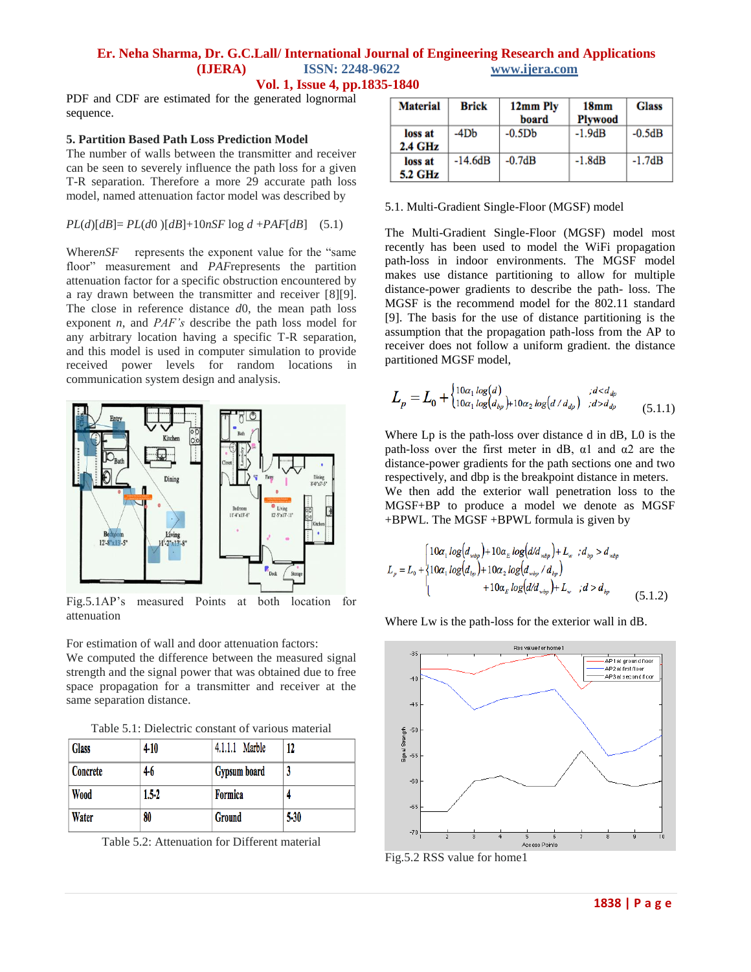PDF and CDF are estimated for the generated lognormal sequence.

#### **5. Partition Based Path Loss Prediction Model**

The number of walls between the transmitter and receiver can be seen to severely influence the path loss for a given T-R separation. Therefore a more 29 accurate path loss model, named attenuation factor model was described by

#### $PL(d)[dB] = PL(d0)[dB] + 10nSF \log d + PAF[dB]$  (5.1)

Where*nSF* represents the exponent value for the "same" floor" measurement and *PAF*represents the partition attenuation factor for a specific obstruction encountered by a ray drawn between the transmitter and receiver [8][9]. The close in reference distance *d*0, the mean path loss exponent *n*, and *PAF's* describe the path loss model for any arbitrary location having a specific T-R separation, and this model is used in computer simulation to provide received power levels for random locations in communication system design and analysis.



Fig.5.1AP's measured Points at both location for attenuation

For estimation of wall and door attenuation factors: We computed the difference between the measured signal strength and the signal power that was obtained due to free space propagation for a transmitter and receiver at the same separation distance.

Table 5.1: Dielectric constant of various material

| <b>Glass</b> | $4 - 10$  | 4.1.1.1 Marble | 12       |
|--------------|-----------|----------------|----------|
| Concrete     | $4-6$     | Gypsum board   |          |
| <b>Wood</b>  | $1.5 - 2$ | Formica        |          |
| Water        | 80        | <b>Ground</b>  | $5 - 30$ |

Table 5.2: Attenuation for Different material

| <b>Material</b>              | <b>Brick</b> | 12mm Ply<br>board | 18 <sub>mm</sub><br><b>Plywood</b> | <b>Glass</b> |
|------------------------------|--------------|-------------------|------------------------------------|--------------|
| loss at<br>$2.4 \text{ GHz}$ | -4Db         | $-0.5Db$          | $-1.9dB$                           | $-0.5dB$     |
| loss at<br><b>5.2 GHz</b>    | $-14.6dB$    | $-0.7dB$          | $-1.8dB$                           | $-1.7dB$     |

#### 5.1. Multi-Gradient Single-Floor (MGSF) model

The Multi-Gradient Single-Floor (MGSF) model most recently has been used to model the WiFi propagation path-loss in indoor environments. The MGSF model makes use distance partitioning to allow for multiple distance-power gradients to describe the path- loss. The MGSF is the recommend model for the 802.11 standard [9]. The basis for the use of distance partitioning is the assumption that the propagation path-loss from the AP to receiver does not follow a uniform gradient. the distance partitioned MGSF model,

$$
L_p = L_0 + \begin{cases} 10\alpha_1 \log(d) & \text{if } d < d_{dp} \\ 10\alpha_1 \log(d_{bp}) + 10\alpha_2 \log(d/d_{dp}) & \text{if } d > d_{dp} \end{cases} \tag{5.1.1}
$$

Where Lp is the path-loss over distance d in dB, L0 is the path-loss over the first meter in dB,  $\alpha$ 1 and  $\alpha$ 2 are the distance-power gradients for the path sections one and two respectively, and dbp is the breakpoint distance in meters.

We then add the exterior wall penetration loss to the MGSF+BP to produce a model we denote as MGSF +BPWL. The MGSF +BPWL formula is given by

$$
L_{p} = L_{0} + \begin{cases} 10\alpha_{1} \log (d_{wbp}) + 10\alpha_{E} \log (d/d_{wbp}) + L_{w} , d_{bp} > d_{wbp} \\ 10\alpha_{1} \log (d_{bp}) + 10\alpha_{2} \log (d_{wbp} / d_{bp}) \\ + 10\alpha_{E} \log (d/d_{wbp}) + L_{w} , d > d_{bp} \end{cases}
$$
(5.1.2)

Where Lw is the path-loss for the exterior wall in dB.



Fig.5.2 RSS value for home1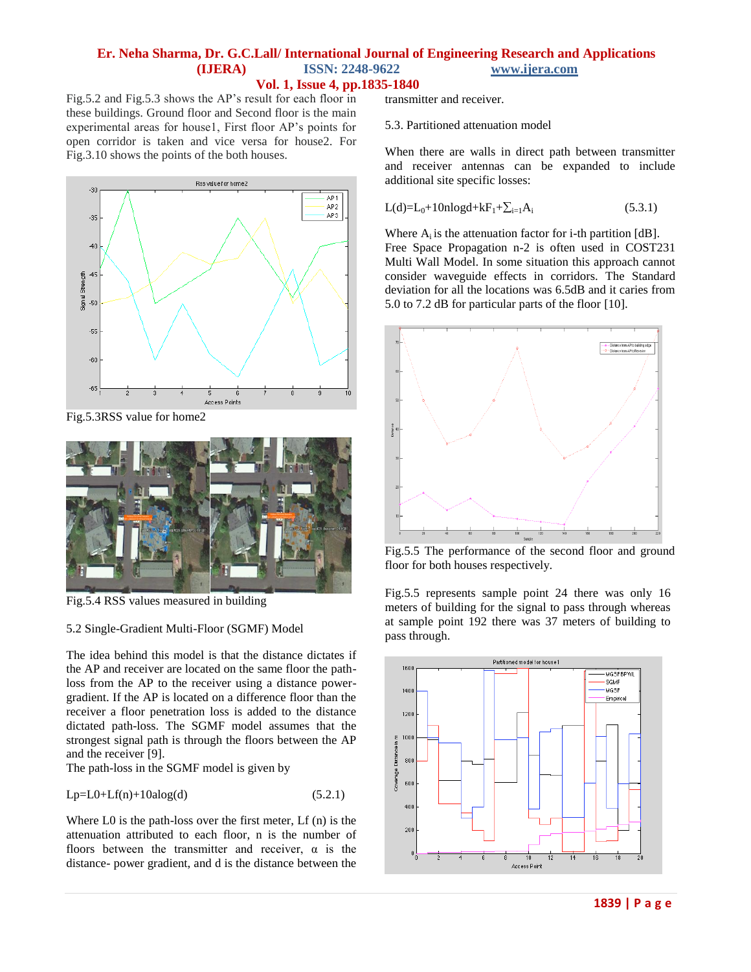Fig.5.2 and Fig.5.3 shows the AP's result for each floor in these buildings. Ground floor and Second floor is the main experimental areas for house1, First floor AP's points for open corridor is taken and vice versa for house2. For Fig.3.10 shows the points of the both houses.



Fig.5.3RSS value for home2



Fig.5.4 RSS values measured in building

### 5.2 Single-Gradient Multi-Floor (SGMF) Model

The idea behind this model is that the distance dictates if the AP and receiver are located on the same floor the pathloss from the AP to the receiver using a distance powergradient. If the AP is located on a difference floor than the receiver a floor penetration loss is added to the distance dictated path-loss. The SGMF model assumes that the strongest signal path is through the floors between the AP and the receiver [9].

The path-loss in the SGMF model is given by

$$
Lp=L0+Lf(n)+10alog(d)
$$
\n(5.2.1)

Where L0 is the path-loss over the first meter, Lf (n) is the attenuation attributed to each floor, n is the number of floors between the transmitter and receiver,  $\alpha$  is the distance- power gradient, and d is the distance between the

transmitter and receiver.

#### 5.3. Partitioned attenuation model

When there are walls in direct path between transmitter and receiver antennas can be expanded to include additional site specific losses:

$$
L(d)=L_0+10nlogd+kF_1+\sum_{i=1}A_i
$$
\n(5.3.1)

Where  $A_i$  is the attenuation factor for *i*-th partition  $[dB]$ . Free Space Propagation n-2 is often used in COST231 Multi Wall Model. In some situation this approach cannot consider waveguide effects in corridors. The Standard deviation for all the locations was 6.5dB and it caries from 5.0 to 7.2 dB for particular parts of the floor [10].



Fig.5.5 The performance of the second floor and ground floor for both houses respectively.

Fig.5.5 represents sample point 24 there was only 16 meters of building for the signal to pass through whereas at sample point 192 there was 37 meters of building to pass through.